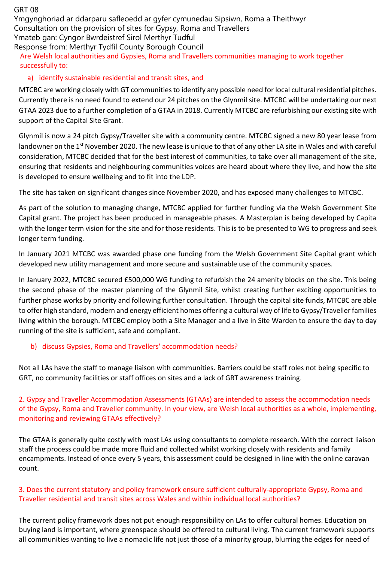GRT 08

Ymgynghoriad ar ddarparu safleoedd ar gyfer cymunedau Sipsiwn, Roma a Theithwyr Consultation on the provision of sites for Gypsy, Roma and Travellers Ymateb gan: Cyngor Bwrdeistref Sirol Merthyr Tudful Response from: Merthyr Tydfil County Borough Council

## Are Welsh local authorities and Gypsies, Roma and Travellers communities managing to work together successfully to:

# a) identify sustainable residential and transit sites, and

MTCBC are working closely with GT communities to identify any possible need for local cultural residential pitches. Currently there is no need found to extend our 24 pitches on the Glynmil site. MTCBC will be undertaking our next GTAA 2023 due to a further completion of a GTAA in 2018. Currently MTCBC are refurbishing our existing site with support of the Capital Site Grant.

Glynmil is now a 24 pitch Gypsy/Traveller site with a community centre. MTCBC signed a new 80 year lease from landowner on the 1<sup>st</sup> November 2020. The new lease is unique to that of any other LA site in Wales and with careful consideration, MTCBC decided that for the best interest of communities, to take over all management of the site, ensuring that residents and neighbouring communities voices are heard about where they live, and how the site is developed to ensure wellbeing and to fit into the LDP.

The site has taken on significant changes since November 2020, and has exposed many challenges to MTCBC.

As part of the solution to managing change, MTCBC applied for further funding via the Welsh Government Site Capital grant. The project has been produced in manageable phases. A Masterplan is being developed by Capita with the longer term vision for the site and for those residents. This is to be presented to WG to progress and seek longer term funding.

In January 2021 MTCBC was awarded phase one funding from the Welsh Government Site Capital grant which developed new utility management and more secure and sustainable use of the community spaces.

In January 2022, MTCBC secured £500,000 WG funding to refurbish the 24 amenity blocks on the site. This being the second phase of the master planning of the Glynmil Site, whilst creating further exciting opportunities to further phase works by priority and following further consultation. Through the capital site funds, MTCBC are able to offer high standard, modern and energy efficient homes offering a cultural way of life to Gypsy/Traveller families living within the borough. MTCBC employ both a Site Manager and a live in Site Warden to ensure the day to day running of the site is sufficient, safe and compliant.

# b) discuss Gypsies, Roma and Travellers' accommodation needs?

Not all LAs have the staff to manage liaison with communities. Barriers could be staff roles not being specific to GRT, no community facilities or staff offices on sites and a lack of GRT awareness training.

2. Gypsy and Traveller Accommodation Assessments (GTAAs) are intended to assess the accommodation needs of the Gypsy, Roma and Traveller community. In your view, are Welsh local authorities as a whole, implementing, monitoring and reviewing GTAAs effectively?

The GTAA is generally quite costly with most LAs using consultants to complete research. With the correct liaison staff the process could be made more fluid and collected whilst working closely with residents and family encampments. Instead of once every 5 years, this assessment could be designed in line with the online caravan count.

## 3. Does the current statutory and policy framework ensure sufficient culturally-appropriate Gypsy, Roma and Traveller residential and transit sites across Wales and within individual local authorities?

The current policy framework does not put enough responsibility on LAs to offer cultural homes. Education on buying land is important, where greenspace should be offered to cultural living. The current framework supports all communities wanting to live a nomadic life not just those of a minority group, blurring the edges for need of